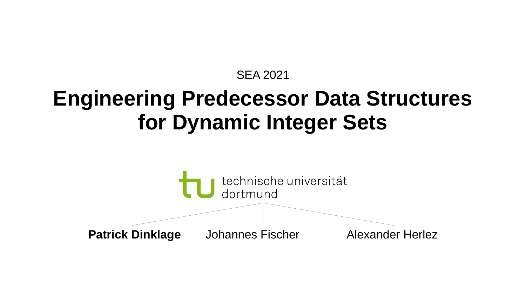#### SEA 2021

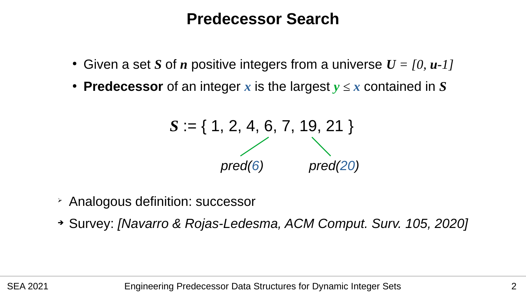#### **Predecessor Search**

- Given a set *S* of *n* positive integers from a universe  $U = [0, u-1]$
- **Predecessor** of an integer x is the largest  $y \le x$  contained in S

$$
S := \{ 1, 2, 4, 6, 7, 19, 21 \}
$$
  
pred(6) pred(20)

- ➢ Analogous definition: successor
- ➔ Survey: *[Navarro & Rojas-Ledesma, ACM Comput. Surv. 105, 2020]*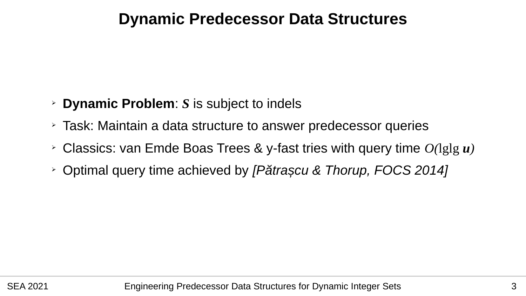#### **Dynamic Predecessor Data Structures**

- ➢ **Dynamic Problem**: *S* is subject to indels
- ➢ Task: Maintain a data structure to answer predecessor queries
- ➢ Classics: van Emde Boas Trees & y-fast tries with query time *O(*lglg *u)*
- ➢ Optimal query time achieved by *[Pătrașcu & Thorup, FOCS 2014]*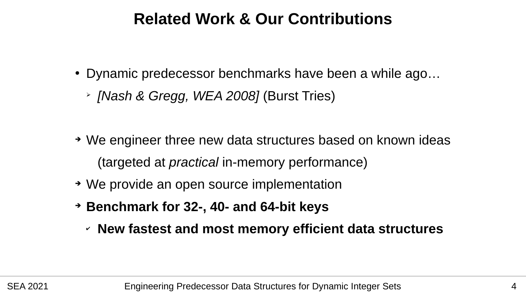#### **Related Work & Our Contributions**

- Dynamic predecessor benchmarks have been a while ago...
	- ➢ *[Nash & Gregg, WEA 2008]* (Burst Tries)
- ➔ We engineer three new data structures based on known ideas (targeted at *practical* in-memory performance)
- ➔ We provide an open source implementation
- ➔ **Benchmark for 32-, 40- and 64-bit keys**
	- ✔ **New fastest and most memory efficient data structures**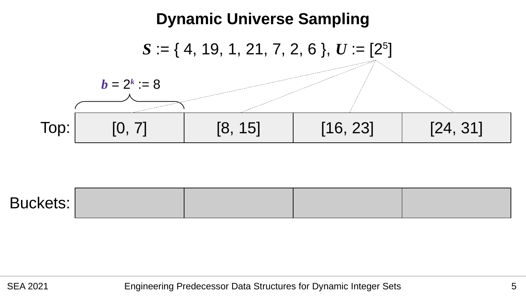

| <b>Buckets:</b> |  |  |  |  |
|-----------------|--|--|--|--|
|-----------------|--|--|--|--|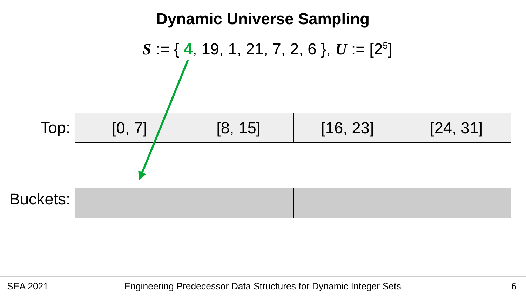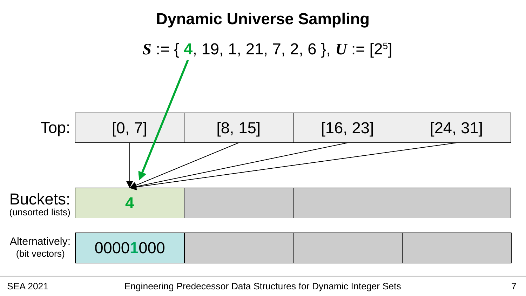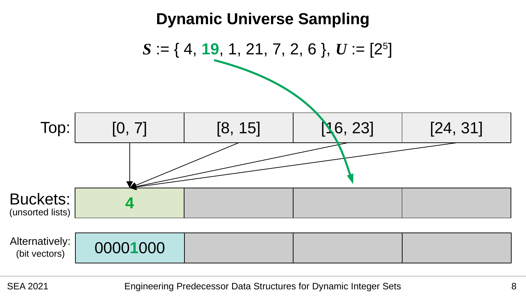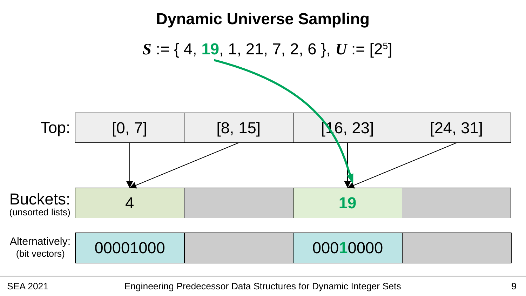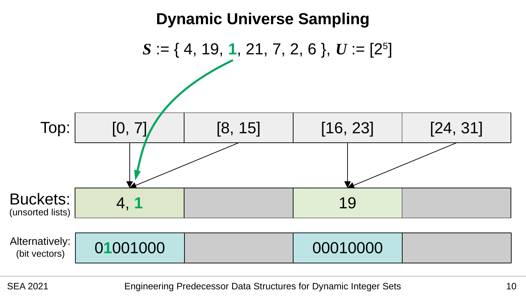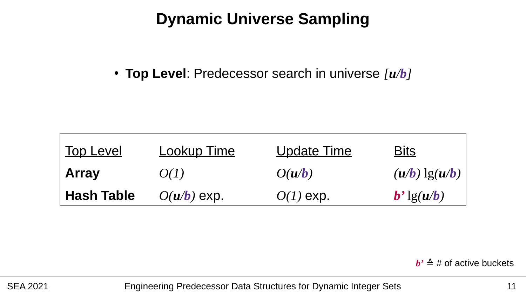## **Dynamic Universe Sampling**

● **Top Level**: Predecessor search in universe *[u/b]*

| Top Level         | <b>Lookup Time</b> | <b>Update Time</b> | <u>Bits</u>                                 |
|-------------------|--------------------|--------------------|---------------------------------------------|
| <b>Array</b>      | O(1)               | O(u/b)             | $(u/b)$ $\lg(u/b)$                          |
| <b>Hash Table</b> | $O(u/b)$ exp.      | $O(1)$ exp.        | $\mathbf{b}'$ lg( $\mathbf{u}/\mathbf{b}$ ) |

**<sup>** $\cdot$ **</sup>**  $\triangleq$  **# of active buckets**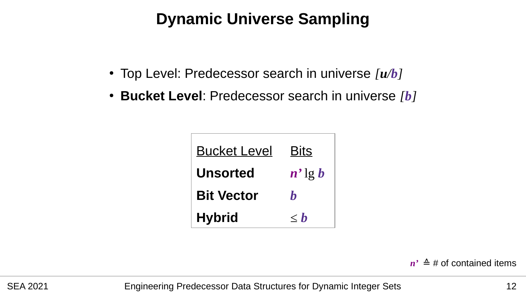## **Dynamic Universe Sampling**

- Top Level: Predecessor search in universe *[u/b]*
- **Bucket Level**: Predecessor search in universe *[b]*

| <b>Bucket Level</b> | <b>Bits</b>    |  |
|---------------------|----------------|--|
| <b>Unsorted</b>     | $n'$ lg b      |  |
| <b>Bit Vector</b>   | h              |  |
| <b>Hybrid</b>       | $\mathbf{< h}$ |  |

*n'*  $\triangleq$  # of contained items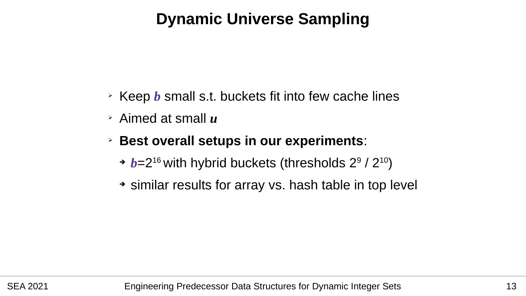# **Dynamic Universe Sampling**

- ➢ Keep *b* small s.t. buckets fit into few cache lines
- ➢ Aimed at small *u*
- ➢ **Best overall setups in our experiments**:
	- → *b*=2<sup>16</sup> with hybrid buckets (thresholds 2<sup>9</sup> / 2<sup>10</sup>)
	- ➔ similar results for array vs. hash table in top level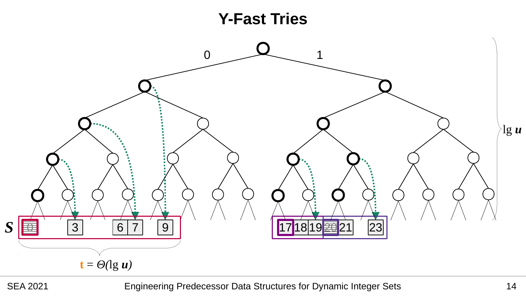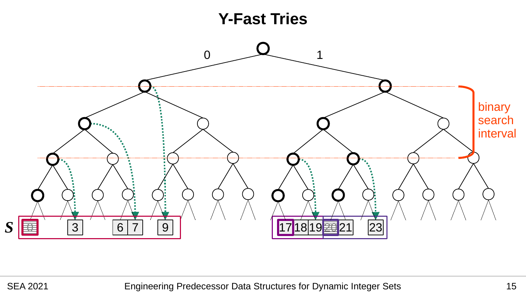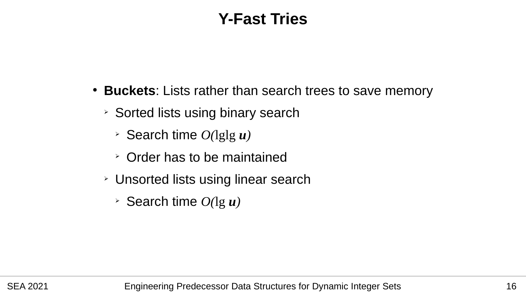## **Y-Fast Tries**

- Buckets: Lists rather than search trees to save memory
	- ➢ Sorted lists using binary search
		- ➢ Search time *O(*lglg *u)*
		- ➢ Order has to be maintained
	- ➢ Unsorted lists using linear search
		- ➢ Search time *O(*lg *u)*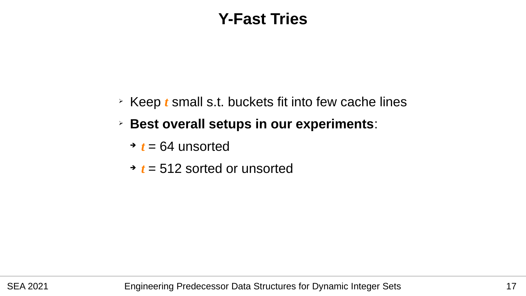### **Y-Fast Tries**

- ➢ Keep *t* small s.t. buckets fit into few cache lines
- ➢ **Best overall setups in our experiments**:
	- $\rightarrow t = 64$  unsorted
	- ➔ *t* = 512 sorted or unsorted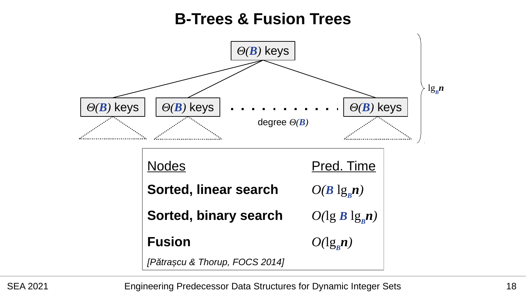#### **B-Trees & Fusion Trees**

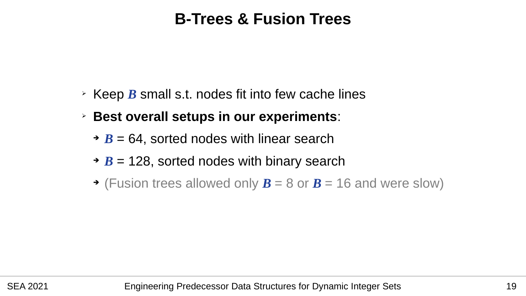#### **B-Trees & Fusion Trees**

- ➢ Keep *B* small s.t. nodes fit into few cache lines
- ➢ **Best overall setups in our experiments**:
	- ➔ *B* = 64, sorted nodes with linear search
	- ➔ *B* = 128, sorted nodes with binary search
	- $\rightarrow$  (Fusion trees allowed only  $\bm{B} = 8$  or  $\bm{B} = 16$  and were slow)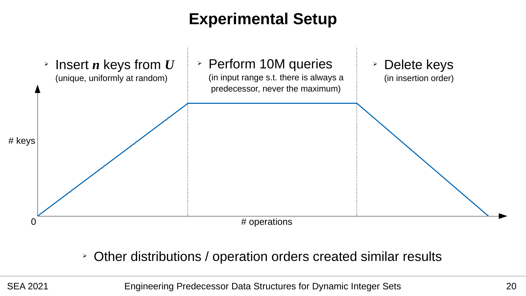# **Experimental Setup**



➢ Other distributions / operation orders created similar results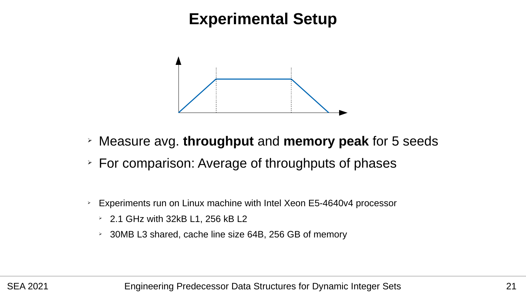#### **Experimental Setup**



- ➢ Measure avg. **throughput** and **memory peak** for 5 seeds
- ➢ For comparison: Average of throughputs of phases
- ➢ Experiments run on Linux machine with Intel Xeon E5-4640v4 processor
	- $\geq$  2.1 GHz with 32kB L1, 256 kB L2
	- ➢ 30MB L3 shared, cache line size 64B, 256 GB of memory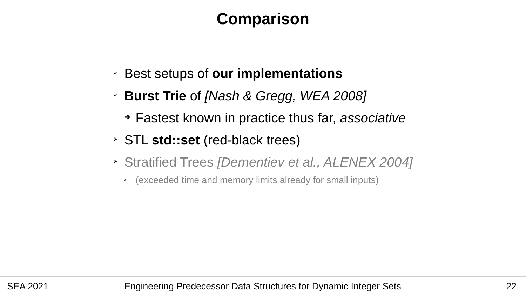#### **Comparison**

- ➢ Best setups of **our implementations**
- ➢ **Burst Trie** of *[Nash & Gregg, WEA 2008]*
	- ➔ Fastest known in practice thus far, *associative*
- ➢ STL **std::set** (red-black trees)
- ➢ Stratified Trees *[Dementiev et al., ALENEX 2004]*
	- ✗ (exceeded time and memory limits already for small inputs)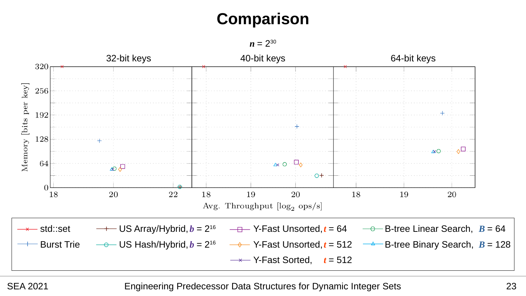# **Comparison**

 $n = 2^{30}$